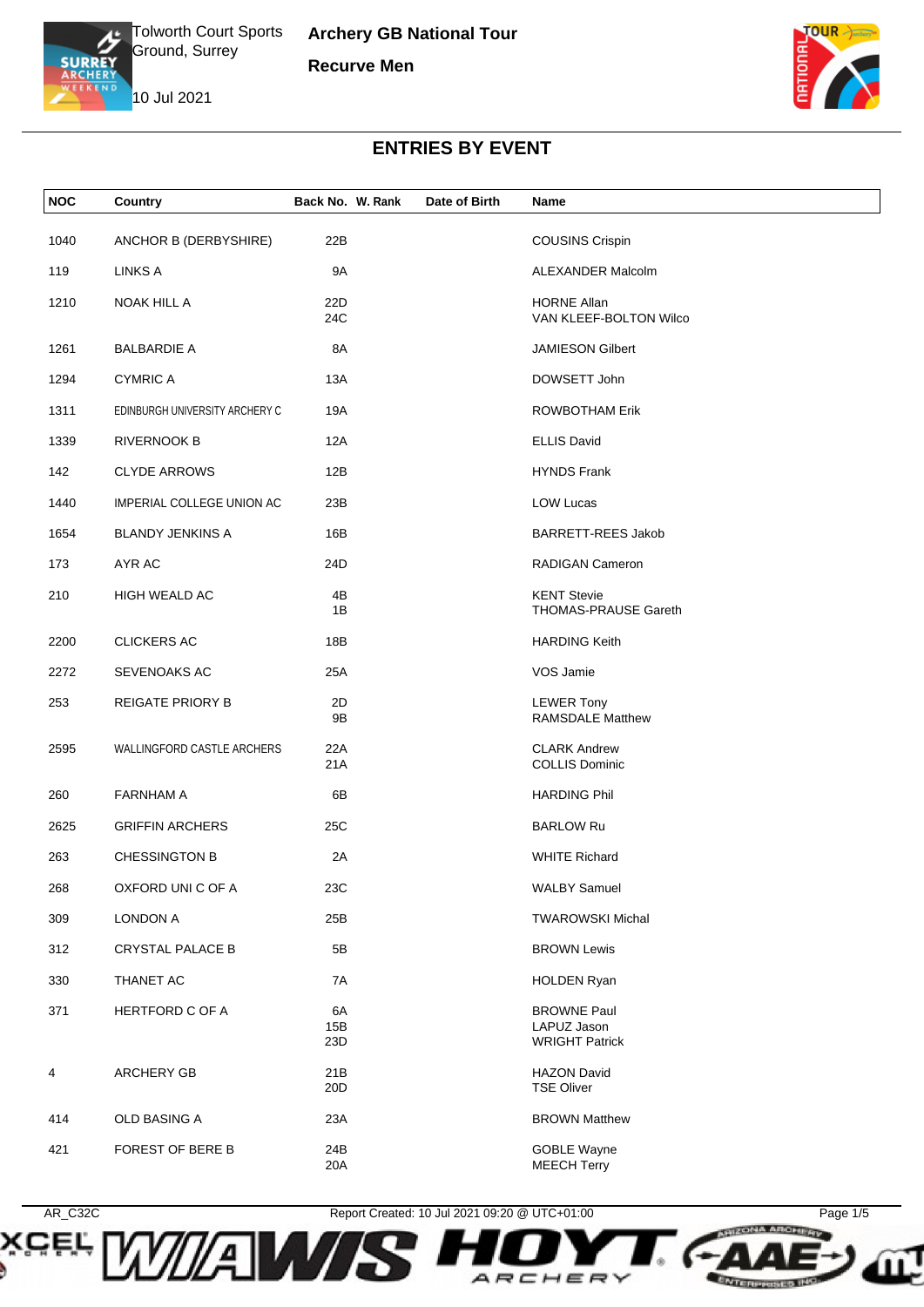

**Archery GB National Tour Recurve Men**

10 Jul 2021



## **ENTRIES BY EVENT**

| <b>NOC</b> | Country                        | Back No. W. Rank | Date of Birth | Name                                                       |
|------------|--------------------------------|------------------|---------------|------------------------------------------------------------|
| 1040       | ANCHOR B (DERBYSHIRE)          | 22B              |               | <b>COUSINS Crispin</b>                                     |
| 119        | <b>LINKS A</b>                 | <b>9A</b>        |               | ALEXANDER Malcolm                                          |
| 1210       | NOAK HILL A                    | 22D<br>24C       |               | <b>HORNE Allan</b><br>VAN KLEEF-BOLTON Wilco               |
| 1261       | <b>BALBARDIE A</b>             | 8A               |               | <b>JAMIESON Gilbert</b>                                    |
| 1294       | <b>CYMRIC A</b>                | 13A              |               | DOWSETT John                                               |
| 1311       | EDINBURGH UNIVERSITY ARCHERY C | 19A              |               | <b>ROWBOTHAM Erik</b>                                      |
| 1339       | <b>RIVERNOOK B</b>             | 12A              |               | <b>ELLIS David</b>                                         |
| 142        | <b>CLYDE ARROWS</b>            | 12B              |               | <b>HYNDS Frank</b>                                         |
| 1440       | IMPERIAL COLLEGE UNION AC      | 23B              |               | <b>LOW Lucas</b>                                           |
| 1654       | <b>BLANDY JENKINS A</b>        | 16B              |               | <b>BARRETT-REES Jakob</b>                                  |
| 173        | AYR AC                         | 24D              |               | RADIGAN Cameron                                            |
| 210        | HIGH WEALD AC                  | 4B<br>1B         |               | <b>KENT Stevie</b><br>THOMAS-PRAUSE Gareth                 |
| 2200       | <b>CLICKERS AC</b>             | 18B              |               | <b>HARDING Keith</b>                                       |
| 2272       | SEVENOAKS AC                   | 25A              |               | VOS Jamie                                                  |
| 253        | <b>REIGATE PRIORY B</b>        | 2D<br>9Β         |               | <b>LEWER Tony</b><br><b>RAMSDALE Matthew</b>               |
| 2595       | WALLINGFORD CASTLE ARCHERS     | 22A<br>21A       |               | <b>CLARK Andrew</b><br><b>COLLIS Dominic</b>               |
| 260        | <b>FARNHAM A</b>               | 6B               |               | <b>HARDING Phil</b>                                        |
| 2625       | <b>GRIFFIN ARCHERS</b>         | 25C              |               | <b>BARLOW Ru</b>                                           |
| 263        | <b>CHESSINGTON B</b>           | 2A               |               | <b>WHITE Richard</b>                                       |
| 268        | OXFORD UNI C OF A              | 23C              |               | <b>WALBY Samuel</b>                                        |
| 309        | <b>LONDON A</b>                | 25B              |               | <b>TWAROWSKI Michal</b>                                    |
| 312        | <b>CRYSTAL PALACE B</b>        | 5B               |               | <b>BROWN Lewis</b>                                         |
| 330        | THANET AC                      | 7A               |               | <b>HOLDEN Ryan</b>                                         |
| 371        | <b>HERTFORD C OF A</b>         | 6A<br>15B<br>23D |               | <b>BROWNE Paul</b><br>LAPUZ Jason<br><b>WRIGHT Patrick</b> |
| 4          | ARCHERY GB                     | 21B<br>20D       |               | <b>HAZON David</b><br><b>TSE Oliver</b>                    |
| 414        | OLD BASING A                   | 23A              |               | <b>BROWN Matthew</b>                                       |
| 421        | FOREST OF BERE B               | 24B<br>20A       |               | <b>GOBLE Wayne</b><br><b>MEECH Terry</b>                   |



*IAN* 

XCEL

AR\_C32C Report Created: 10 Jul 2021 09:20 @ UTC+01:00 Page 1/5

ARCHERY

**ENTERPRISES INC.**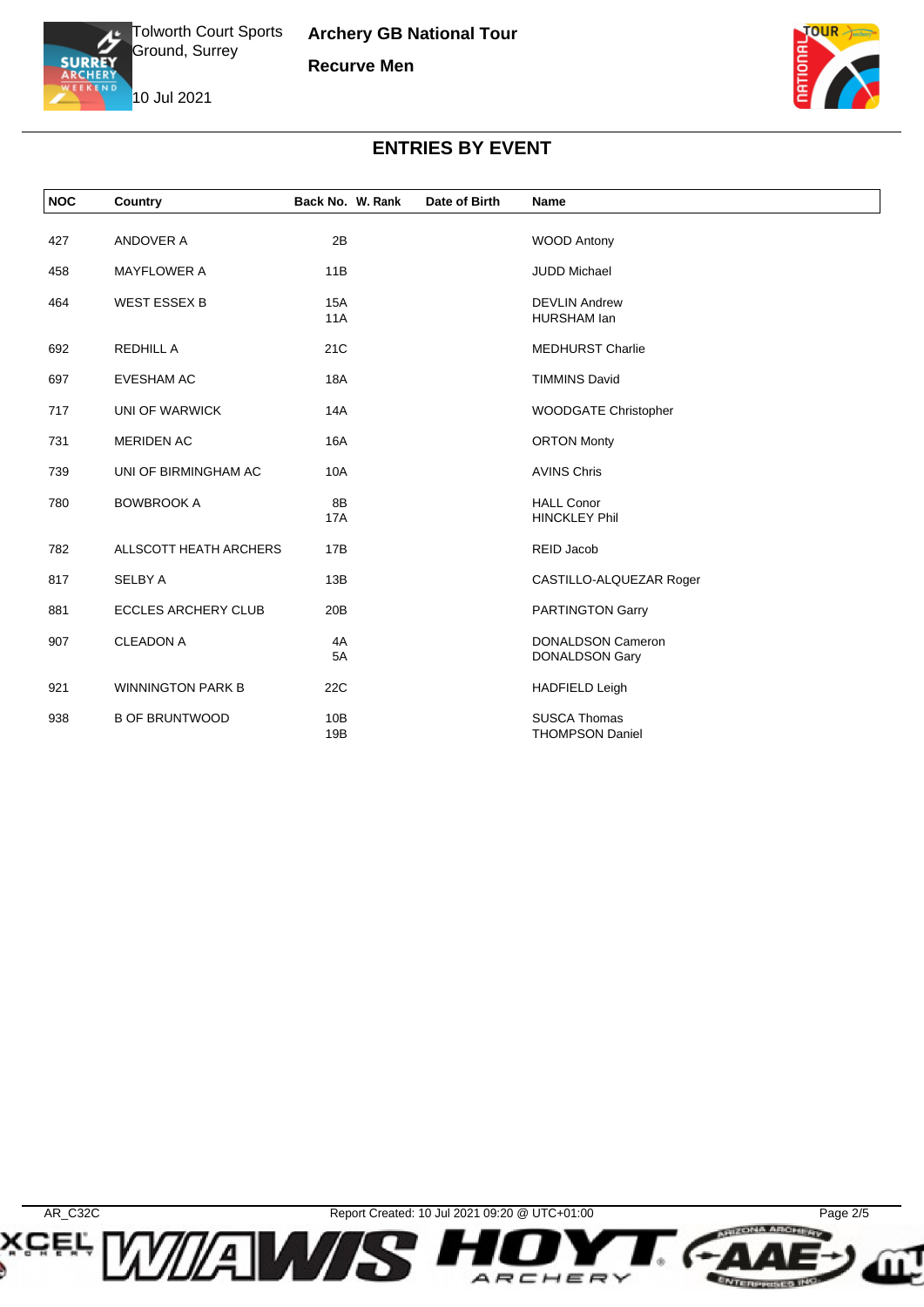

**Archery GB National Tour Recurve Men**





## **ENTRIES BY EVENT**

| <b>NOC</b> | Country                    | Back No. W. Rank  | Date of Birth | Name                                              |  |
|------------|----------------------------|-------------------|---------------|---------------------------------------------------|--|
| 427        | ANDOVER A                  | 2B                |               | <b>WOOD Antony</b>                                |  |
| 458        | <b>MAYFLOWER A</b>         | 11B               |               | <b>JUDD Michael</b>                               |  |
| 464        | <b>WEST ESSEX B</b>        | <b>15A</b><br>11A |               | <b>DEVLIN Andrew</b><br><b>HURSHAM lan</b>        |  |
| 692        | <b>REDHILL A</b>           | 21C               |               | <b>MEDHURST Charlie</b>                           |  |
| 697        | <b>EVESHAM AC</b>          | 18A               |               | <b>TIMMINS David</b>                              |  |
| 717        | UNI OF WARWICK             | 14A               |               | <b>WOODGATE Christopher</b>                       |  |
| 731        | <b>MERIDEN AC</b>          | <b>16A</b>        |               | <b>ORTON Monty</b>                                |  |
| 739        | UNI OF BIRMINGHAM AC       | <b>10A</b>        |               | <b>AVINS Chris</b>                                |  |
| 780        | <b>BOWBROOK A</b>          | 8B<br><b>17A</b>  |               | <b>HALL Conor</b><br><b>HINCKLEY Phil</b>         |  |
| 782        | ALLSCOTT HEATH ARCHERS     | 17B               |               | REID Jacob                                        |  |
| 817        | <b>SELBY A</b>             | 13B               |               | CASTILLO-ALQUEZAR Roger                           |  |
| 881        | <b>ECCLES ARCHERY CLUB</b> | 20B               |               | <b>PARTINGTON Garry</b>                           |  |
| 907        | <b>CLEADON A</b>           | 4A<br>5A          |               | <b>DONALDSON Cameron</b><br><b>DONALDSON Gary</b> |  |
| 921        | <b>WINNINGTON PARK B</b>   | 22C               |               | <b>HADFIELD Leigh</b>                             |  |
| 938        | <b>B OF BRUNTWOOD</b>      | 10B<br>19B        |               | <b>SUSCA Thomas</b><br><b>THOMPSON Daniel</b>     |  |

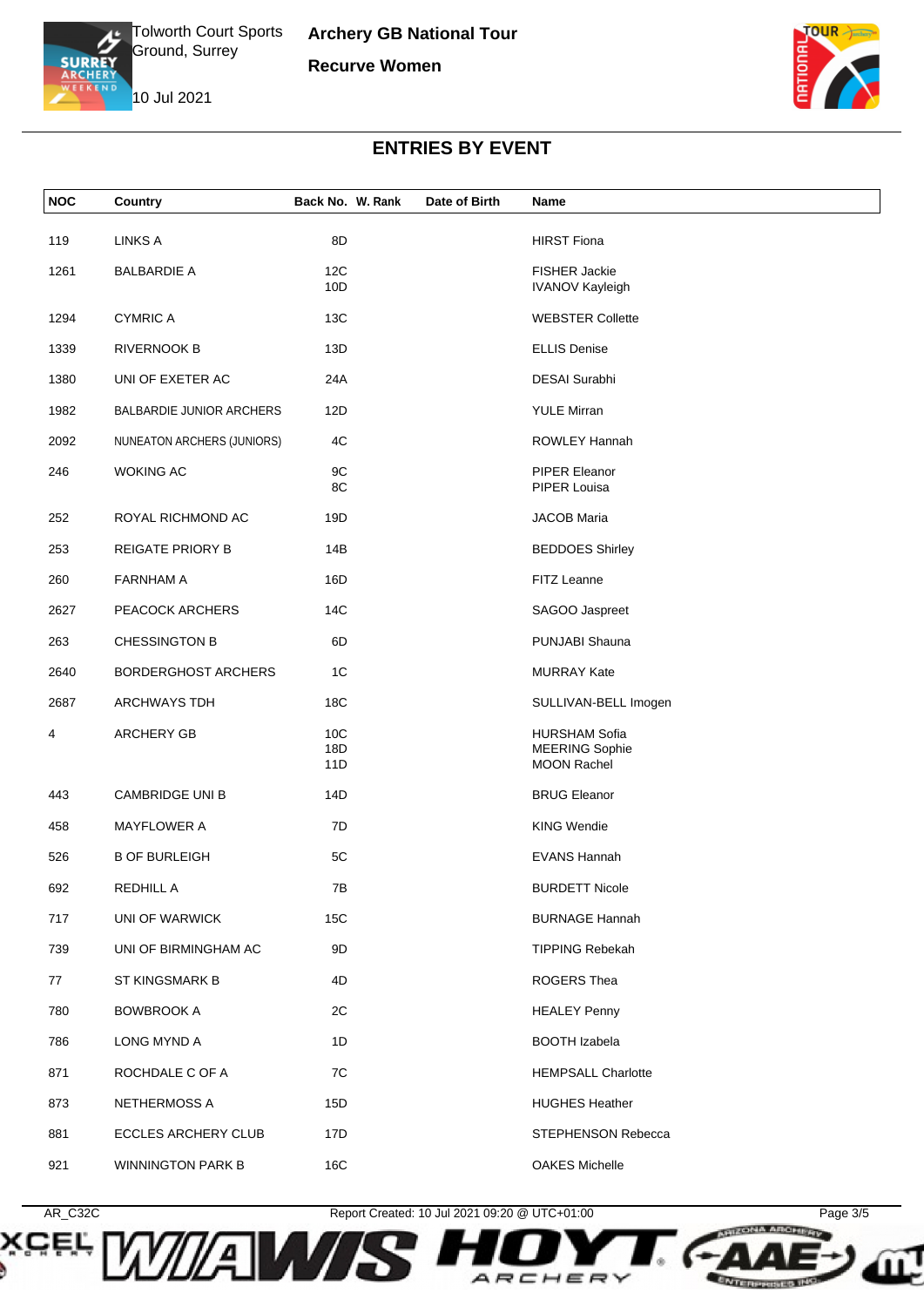





## **ENTRIES BY EVENT**

| <b>NOC</b> | Country                         | Back No. W. Rank | Date of Birth | Name                                           |
|------------|---------------------------------|------------------|---------------|------------------------------------------------|
| 119        | <b>LINKS A</b>                  | 8D               |               | <b>HIRST Fiona</b>                             |
| 1261       | <b>BALBARDIE A</b>              | 12C<br>10D       |               | <b>FISHER Jackie</b><br><b>IVANOV Kayleigh</b> |
| 1294       | <b>CYMRIC A</b>                 | 13C              |               | <b>WEBSTER Collette</b>                        |
| 1339       | <b>RIVERNOOK B</b>              | 13D              |               | <b>ELLIS Denise</b>                            |
| 1380       | UNI OF EXETER AC                | 24A              |               | <b>DESAI</b> Surabhi                           |
| 1982       | <b>BALBARDIE JUNIOR ARCHERS</b> | 12D              |               | <b>YULE Mirran</b>                             |
| 2092       | NUNEATON ARCHERS (JUNIORS)      | 4C               |               | ROWLEY Hannah                                  |
| 246        | <b>WOKING AC</b>                | 9C<br>8C         |               | <b>PIPER Eleanor</b><br>PIPER Louisa           |
| 252        | ROYAL RICHMOND AC               | 19D              |               | <b>JACOB Maria</b>                             |
| 253        | <b>REIGATE PRIORY B</b>         | 14B              |               | <b>BEDDOES Shirley</b>                         |
| 260        | <b>FARNHAM A</b>                | 16D              |               | FITZ Leanne                                    |
| 2627       | PEACOCK ARCHERS                 | 14C              |               | SAGOO Jaspreet                                 |
| 263        | <b>CHESSINGTON B</b>            | 6D               |               | PUNJABI Shauna                                 |
| 2640       | <b>BORDERGHOST ARCHERS</b>      | 1 <sup>C</sup>   |               | <b>MURRAY Kate</b>                             |
| 2687       | <b>ARCHWAYS TDH</b>             | 18C              |               | SULLIVAN-BELL Imogen                           |
| 4          | <b>ARCHERY GB</b>               | 10C              |               | <b>HURSHAM Sofia</b>                           |
|            |                                 | 18D<br>11D       |               | <b>MEERING Sophie</b><br><b>MOON Rachel</b>    |
|            |                                 |                  |               |                                                |
| 443        | <b>CAMBRIDGE UNI B</b>          | 14D              |               | <b>BRUG Eleanor</b>                            |
| 458        | <b>MAYFLOWER A</b>              | 7D               |               | <b>KING Wendie</b>                             |
| 526        | <b>B OF BURLEIGH</b>            | 5C               |               | <b>EVANS Hannah</b>                            |
| 692        | REDHILL A                       | 7B               |               | <b>BURDETT Nicole</b>                          |
| 717        | UNI OF WARWICK                  | 15C              |               | <b>BURNAGE Hannah</b>                          |
| 739        | UNI OF BIRMINGHAM AC            | 9D               |               | <b>TIPPING Rebekah</b>                         |
| 77         | <b>ST KINGSMARK B</b>           | 4D               |               | ROGERS Thea                                    |
| 780        | <b>BOWBROOK A</b>               | 2C               |               | <b>HEALEY Penny</b>                            |
| 786        | LONG MYND A                     | 1D               |               | <b>BOOTH Izabela</b>                           |
| 871        | ROCHDALE C OF A                 | 7C               |               | <b>HEMPSALL Charlotte</b>                      |
| 873        | NETHERMOSS A                    | 15D              |               | <b>HUGHES Heather</b>                          |
| 881        | <b>ECCLES ARCHERY CLUB</b>      | 17D              |               | STEPHENSON Rebecca                             |
| 921        | <b>WINNINGTON PARK B</b>        | 16C              |               | <b>OAKES Michelle</b>                          |



*IAN* 

**SCEL,** 

AR\_C32C Report Created: 10 Jul 2021 09:20 @ UTC+01:00 Page 3/5

ARCHER

 $\checkmark$ 

**ENTERPRISES INC.**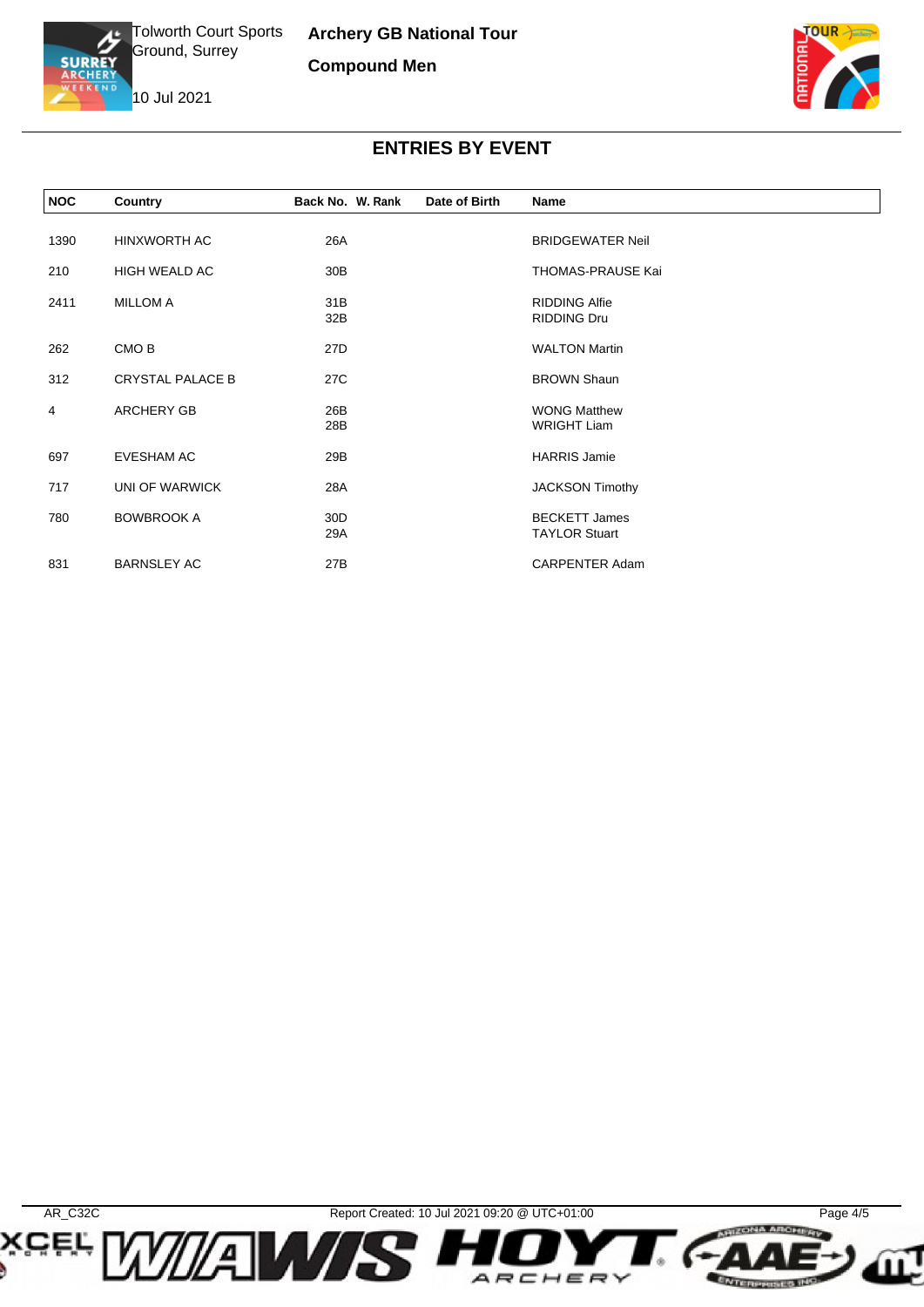

10 Jul 2021



## **ENTRIES BY EVENT**

| <b>NOC</b>     | Country                 | Back No. W. Rank | Date of Birth | Name                                         |  |
|----------------|-------------------------|------------------|---------------|----------------------------------------------|--|
|                |                         |                  |               |                                              |  |
| 1390           | HINXWORTH AC            | 26A              |               | <b>BRIDGEWATER Neil</b>                      |  |
| 210            | HIGH WEALD AC           | 30 <sub>B</sub>  |               | THOMAS-PRAUSE Kai                            |  |
| 2411           | <b>MILLOM A</b>         | 31B              |               | <b>RIDDING Alfie</b>                         |  |
|                |                         | 32B              |               | <b>RIDDING Dru</b>                           |  |
| 262            | CMO <sub>B</sub>        | 27D              |               | <b>WALTON Martin</b>                         |  |
| 312            | <b>CRYSTAL PALACE B</b> | 27C              |               | <b>BROWN Shaun</b>                           |  |
| $\overline{4}$ | <b>ARCHERY GB</b>       | 26B              |               | <b>WONG Matthew</b>                          |  |
|                |                         | 28B              |               | <b>WRIGHT Liam</b>                           |  |
| 697            | <b>EVESHAM AC</b>       | 29B              |               | <b>HARRIS Jamie</b>                          |  |
| 717            | UNI OF WARWICK          | 28A              |               | <b>JACKSON Timothy</b>                       |  |
|                |                         |                  |               |                                              |  |
| 780            | <b>BOWBROOK A</b>       | 30D<br>29A       |               | <b>BECKETT James</b><br><b>TAYLOR Stuart</b> |  |
|                |                         |                  |               |                                              |  |
| 831            | <b>BARNSLEY AC</b>      | 27B              |               | <b>CARPENTER Adam</b>                        |  |